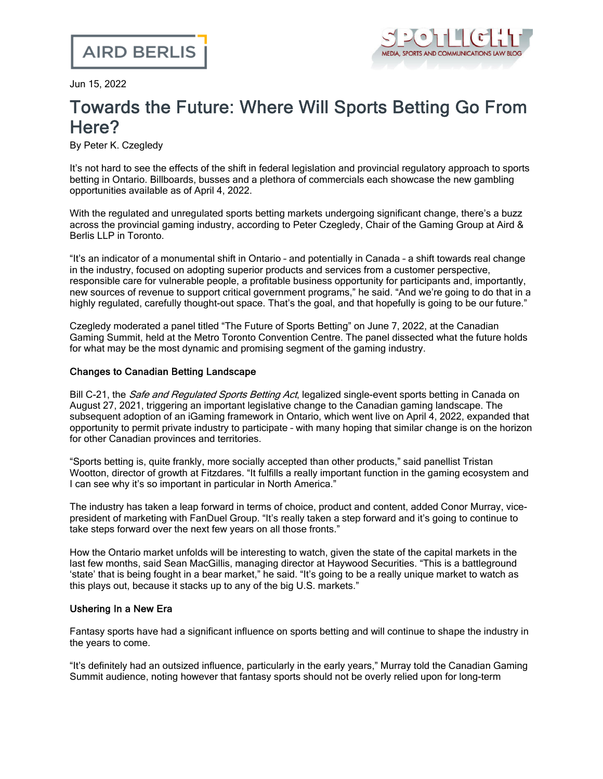

Jun 15, 2022

# Towards the Future: Where Will Sports Betting Go From Here?

By Peter K. Czegledy

It's not hard to see the effects of the shift in federal legislation and provincial regulatory approach to sports betting in Ontario. Billboards, busses and a plethora of commercials each showcase the new gambling opportunities available as of April 4, 2022.

With the regulated and unregulated sports betting markets undergoing significant change, there's a buzz across the provincial gaming industry, according to Peter [Czegledy,](https://www.airdberlis.com/people/bio/peter-k-czegledy) Chair of the Gaming Group at Aird & Berlis LLP in [Toronto](https://www.airdberlis.com/people/bio/peter-k-czegledy).

"It's an indicator of a monumental shift in Ontario – and potentially in Canada – a shift towards real change in the industry, focused on adopting superior products and services from a customer perspective, responsible care for vulnerable people, a profitable business opportunity for participants and, importantly, new sources of revenue to support critical government programs," he said. "And we're going to do that in a highly regulated, carefully thought-out space. That's the goal, and that hopefully is going to be our future."

Czegledy moderated a panel titled "The Future of Sports Betting" on June 7, 2022, at the [Canadian](https://www.canadiangamingsummit.com/) [Gaming](https://www.canadiangamingsummit.com/) Summit, held at the Metro Toronto Convention Centre. The panel dissected what the future holds for what may be the most dynamic and promising segment of the gaming industry.

#### Changes to Canadian Betting Landscape

Bill C-21, the *Safe and [Regulated](https://laws.justice.gc.ca/eng/AnnualStatutes/2021_20/) Sports Betting Act*, legalized single-event sports betting in Canada on August 27, 2021, triggering an important legislative change to the Canadian gaming landscape. The subsequent adoption of an iGaming framework in Ontario, which went live on April 4, 2022, expanded that opportunity to permit private industry to participate – with many hoping that similar change is on the horizon for other Canadian provinces and territories.

"Sports betting is, quite frankly, more socially accepted than other products," said panellist [Tristan](https://www.linkedin.com/in/tristan-wootton-1aba5471/) Wootton, director of growth at [Fitzdares](https://www.linkedin.com/in/tristan-wootton-1aba5471/). "It fulfills a really important function in the gaming ecosystem and I can see why it's so important in particular in North America."

The industry has taken a leap forward in terms of choice, product and content, added Conor [Murray,](https://www.linkedin.com/in/conor-murray-77331248/) vicepresident of [marketing](https://www.linkedin.com/in/conor-murray-77331248/) with FanDuel Group. "It's really taken a step forward and it's going to continue to take steps forward over the next few years on all those fronts."

How the Ontario market unfolds will be interesting to watch, given the state of the capital markets in the last few months, said Sean MacGillis, managing director at Haywood [Securities.](https://www.linkedin.com/in/seanmacgillis/) "This is a battleground 'state' that is being fought in a bear market," he said. "It's going to be a really unique market to watch as this plays out, because it stacks up to any of the big U.S. markets."

### Ushering In a New Era

Fantasy sports have had a significant influence on sports betting and will continue to shape the industry in the years to come.

"It's definitely had an outsized influence, particularly in the early years," Murray told the Canadian Gaming Summit audience, noting however that fantasy sports should not be overly relied upon for long-term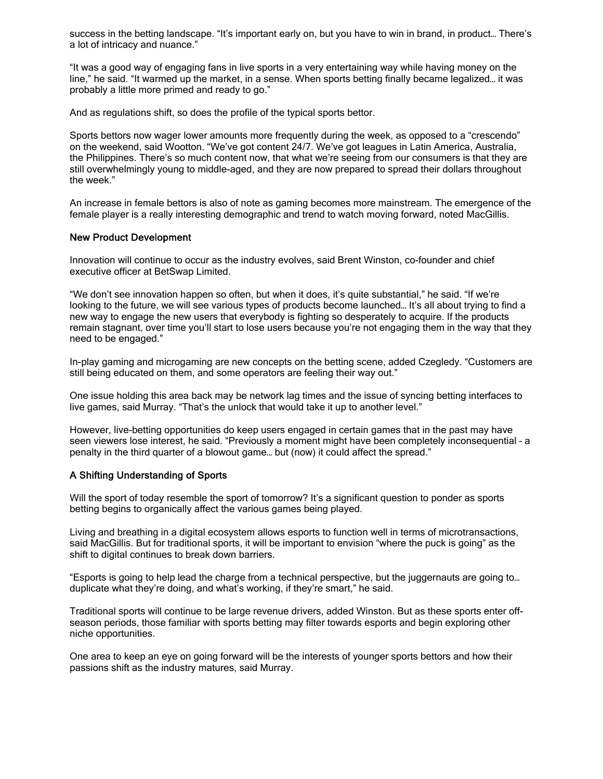success in the betting landscape. "It's important early on, but you have to win in brand, in product… There's a lot of intricacy and nuance."

"It was a good way of engaging fans in live sports in a very entertaining way while having money on the line," he said. "It warmed up the market, in a sense. When sports betting finally became legalized… it was probably a little more primed and ready to go."

And as regulations shift, so does the profile of the typical sports bettor.

Sports bettors now wager lower amounts more frequently during the week, as opposed to a "crescendo" on the weekend, said Wootton. "We've got content 24/7. We've got leagues in Latin America, Australia, the Philippines. There's so much content now, that what we're seeing from our consumers is that they are still overwhelmingly young to middle-aged, and they are now prepared to spread their dollars throughout the week."

An increase in female bettors is also of note as gaming becomes more mainstream. The emergence of the female player is a really interesting demographic and trend to watch moving forward, noted MacGillis.

#### New Product Development

Innovation will continue to occur as the industry evolves, said Brent Winston, [co-founder](https://www.linkedin.com/in/brentwinston/) and chief [executive](https://www.linkedin.com/in/brentwinston/) officer at BetSwap Limited.

"We don't see innovation happen so often, but when it does, it's quite substantial," he said. "If we're looking to the future, we will see various types of products become launched… It's all about trying to find a new way to engage the new users that everybody is fighting so desperately to acquire. If the products remain stagnant, over time you'll start to lose users because you're not engaging them in the way that they need to be engaged."

In-play gaming and microgaming are new concepts on the betting scene, added Czegledy. "Customers are still being educated on them, and some operators are feeling their way out."

One issue holding this area back may be network lag times and the issue of syncing betting interfaces to live games, said Murray. "That's the unlock that would take it up to another level."

However, live-betting opportunities do keep users engaged in certain games that in the past may have seen viewers lose interest, he said. "Previously a moment might have been completely inconsequential – a penalty in the third quarter of a blowout game… but (now) it could affect the spread."

#### A Shifting Understanding of Sports

Will the sport of today resemble the sport of tomorrow? It's a significant question to ponder as sports betting begins to organically affect the various games being played.

Living and breathing in a digital ecosystem allows esports to function well in terms of microtransactions, said MacGillis. But for traditional sports, it will be important to envision "where the puck is going" as the shift to digital continues to break down barriers.

"Esports is going to help lead the charge from a technical perspective, but the juggernauts are going to… duplicate what they're doing, and what's working, if they're smart," he said.

Traditional sports will continue to be large revenue drivers, added Winston. But as these sports enter offseason periods, those familiar with sports betting may filter towards esports and begin exploring other niche opportunities.

One area to keep an eye on going forward will be the interests of younger sports bettors and how their passions shift as the industry matures, said Murray.